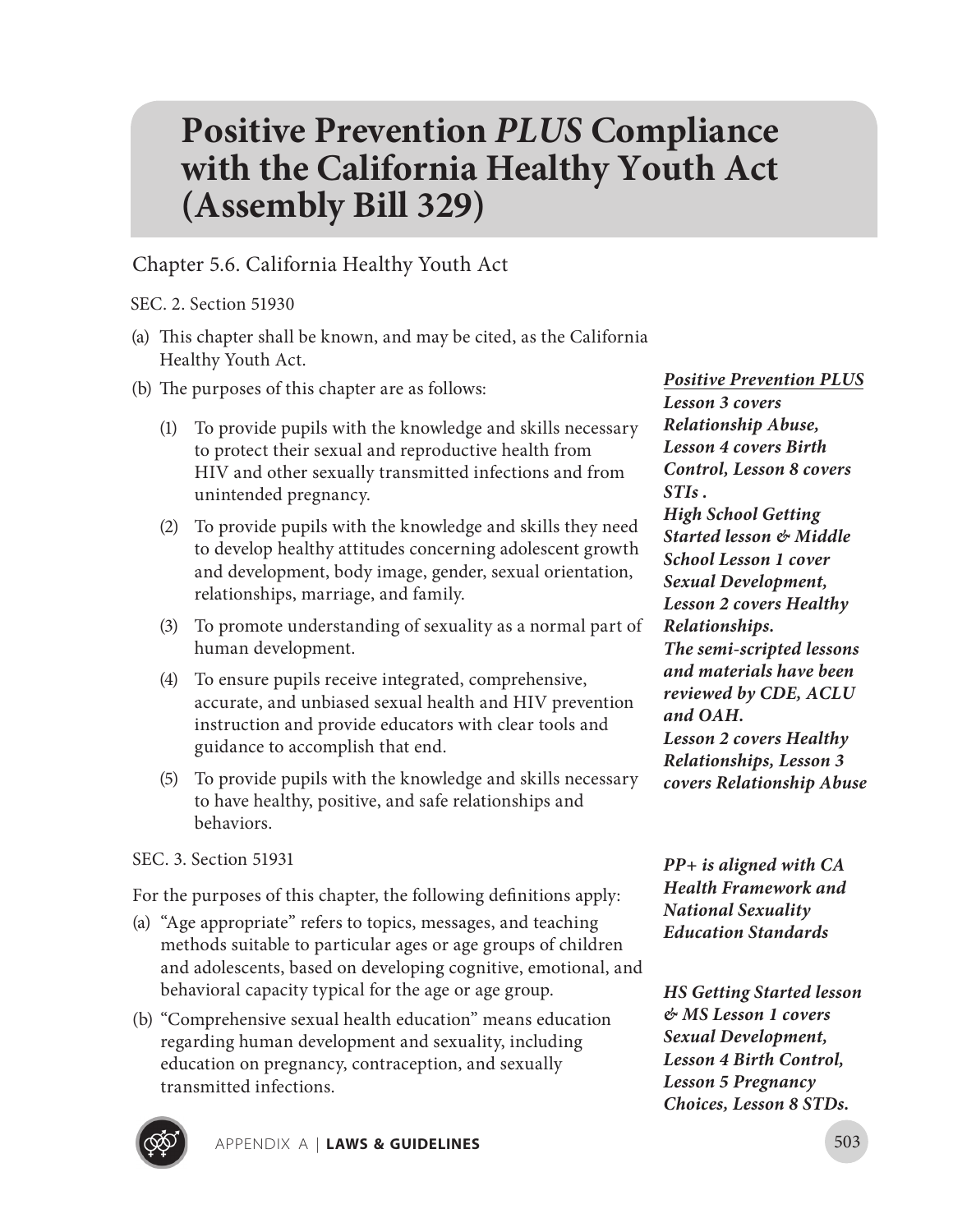## **Positive Prevention** *PLUS* **Compliance with the California Healthy Youth Act (Assembly Bill 329)**

Chapter 5.6. California Healthy Youth Act

SEC. 2. Section 51930

- (a) This chapter shall be known, and may be cited, as the California Healthy Youth Act.
- (b) The purposes of this chapter are as follows:
	- (1) To provide pupils with the knowledge and skills necessary to protect their sexual and reproductive health from HIV and other sexually transmitted infections and from unintended pregnancy.
	- (2) To provide pupils with the knowledge and skills they need to develop healthy attitudes concerning adolescent growth and development, body image, gender, sexual orientation, relationships, marriage, and family.
	- (3) To promote understanding of sexuality as a normal part of human development.
	- (4) To ensure pupils receive integrated, comprehensive, accurate, and unbiased sexual health and HIV prevention instruction and provide educators with clear tools and guidance to accomplish that end.
	- (5) To provide pupils with the knowledge and skills necessary to have healthy, positive, and safe relationships and behaviors.

SEC. 3. Section 51931

For the purposes of this chapter, the following definitions apply:

- (a) "Age appropriate" refers to topics, messages, and teaching methods suitable to particular ages or age groups of children and adolescents, based on developing cognitive, emotional, and behavioral capacity typical for the age or age group.
- (b) "Comprehensive sexual health education" means education regarding human development and sexuality, including education on pregnancy, contraception, and sexually transmitted infections.

*Positive Prevention PLUS Lesson 3 covers Relationship Abuse, Lesson 4 covers Birth Control, Lesson 8 covers STIs . High School Getting Started lesson & Middle School Lesson 1 cover Sexual Development, Lesson 2 covers Healthy Relationships. The semi-scripted lessons and materials have been reviewed by CDE, ACLU and OAH. Lesson 2 covers Healthy Relationships, Lesson 3 covers Relationship Abuse*

*PP+ is aligned with CA Health Framework and National Sexuality Education Standards*

*HS Getting Started lesson & MS Lesson 1 covers Sexual Development, Lesson 4 Birth Control, Lesson 5 Pregnancy Choices, Lesson 8 STDs.*

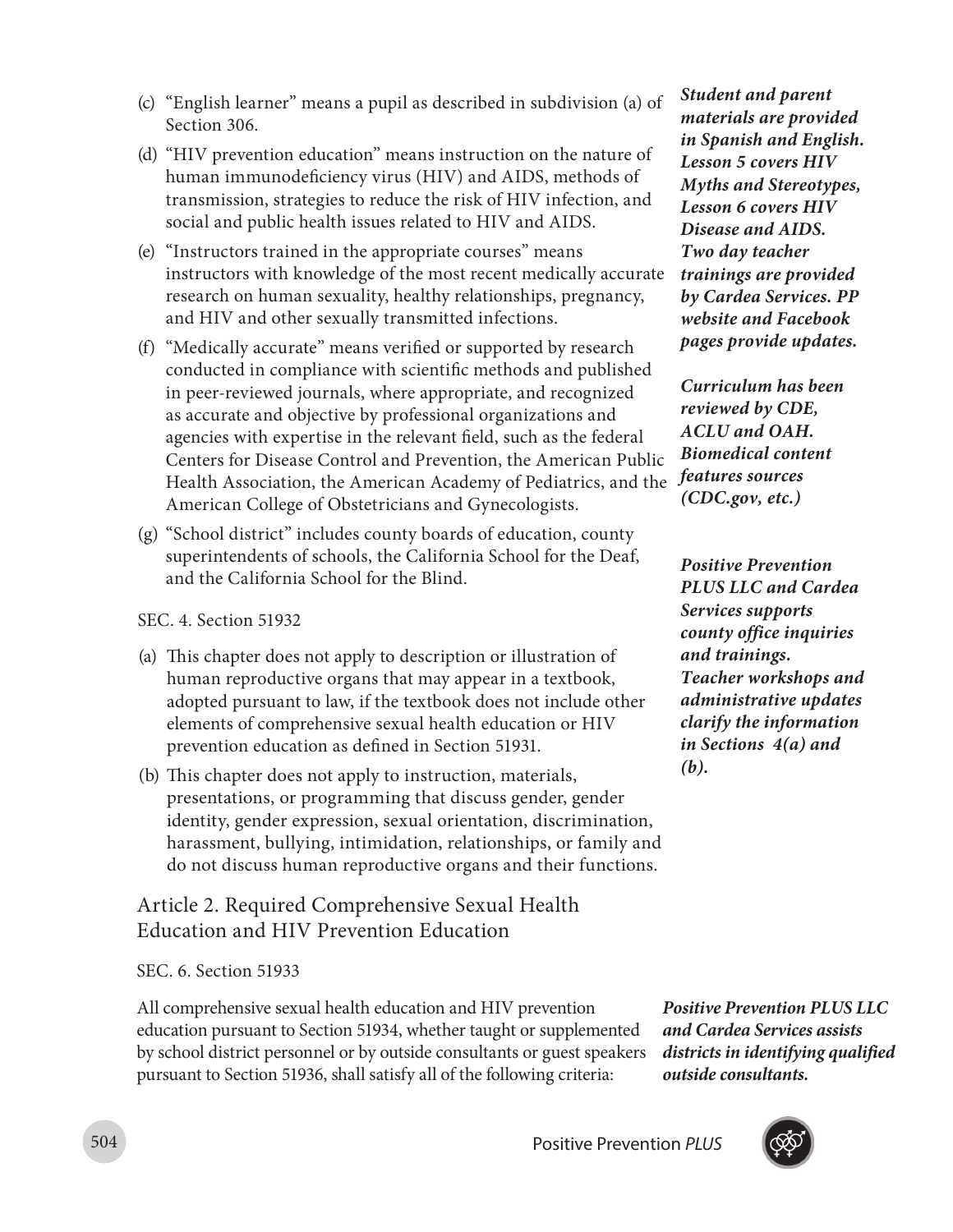- (c) "English learner" means a pupil as described in subdivision (a) of Section 306.
- (d) "HIV prevention education" means instruction on the nature of human immunodeficiency virus (HIV) and AIDS, methods of transmission, strategies to reduce the risk of HIV infection, and social and public health issues related to HIV and AIDS.
- (e) "Instructors trained in the appropriate courses" means instructors with knowledge of the most recent medically accurate research on human sexuality, healthy relationships, pregnancy, and HIV and other sexually transmitted infections.
- (f) "Medically accurate" means verified or supported by research conducted in compliance with scientific methods and published in peer-reviewed journals, where appropriate, and recognized as accurate and objective by professional organizations and agencies with expertise in the relevant field, such as the federal Centers for Disease Control and Prevention, the American Public Health Association, the American Academy of Pediatrics, and the *features sources*  American College of Obstetricians and Gynecologists.
- (g) "School district" includes county boards of education, county superintendents of schools, the California School for the Deaf, and the California School for the Blind.

SEC. 4. Section 51932

- (a) This chapter does not apply to description or illustration of human reproductive organs that may appear in a textbook, adopted pursuant to law, if the textbook does not include other elements of comprehensive sexual health education or HIV prevention education as defined in Section 51931.
- (b) This chapter does not apply to instruction, materials, presentations, or programming that discuss gender, gender identity, gender expression, sexual orientation, discrimination, harassment, bullying, intimidation, relationships, or family and do not discuss human reproductive organs and their functions.

## Article 2. Required Comprehensive Sexual Health Education and HIV Prevention Education

SEC. 6. Section 51933

All comprehensive sexual health education and HIV prevention education pursuant to Section 51934, whether taught or supplemented by school district personnel or by outside consultants or guest speakers pursuant to Section 51936, shall satisfy all of the following criteria:

*Student and parent materials are provided in Spanish and English. Lesson 5 covers HIV Myths and Stereotypes, Lesson 6 covers HIV Disease and AIDS. Two day teacher trainings are provided by Cardea Services. PP website and Facebook pages provide updates.*

*Curriculum has been reviewed by CDE, ACLU and OAH. Biomedical content (CDC.gov, etc.)*

*Positive Prevention PLUS LLC and Cardea Services supports county office inquiries and trainings. Teacher workshops and administrative updates clarify the information in Sections 4(a) and (b).*

*Positive Prevention PLUS LLC and Cardea Services assists districts in identifying qualified outside consultants.*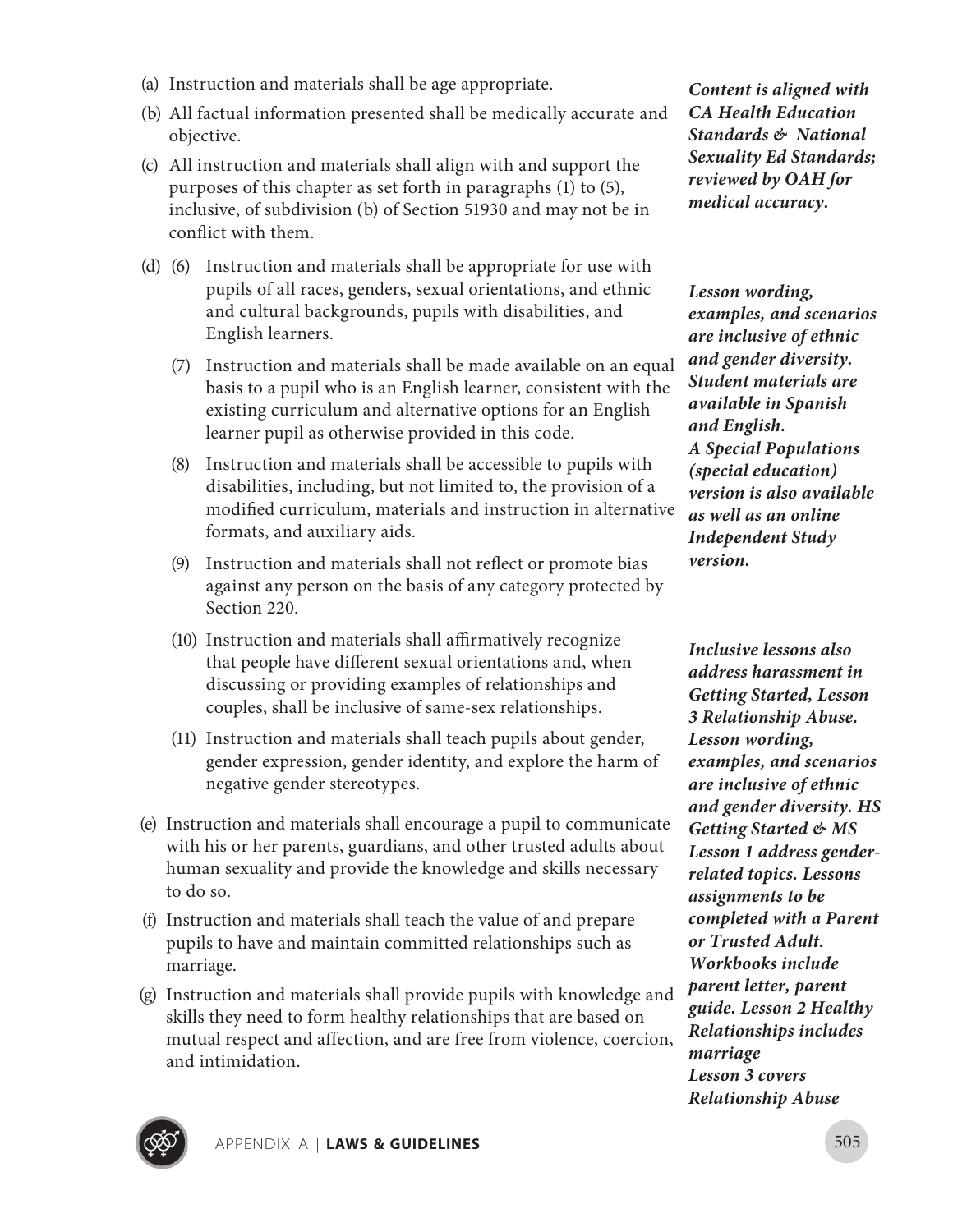- (a) Instruction and materials shall be age appropriate.
- (b) All factual information presented shall be medically accurate and objective.
- (c) All instruction and materials shall align with and support the purposes of this chapter as set forth in paragraphs (1) to (5), inclusive, of subdivision (b) of Section 51930 and may not be in conflict with them.
- (d) (6) Instruction and materials shall be appropriate for use with pupils of all races, genders, sexual orientations, and ethnic and cultural backgrounds, pupils with disabilities, and English learners.
	- (7) Instruction and materials shall be made available on an equal basis to a pupil who is an English learner, consistent with the existing curriculum and alternative options for an English learner pupil as otherwise provided in this code.
	- (8) Instruction and materials shall be accessible to pupils with disabilities, including, but not limited to, the provision of a modified curriculum, materials and instruction in alternative formats, and auxiliary aids.
	- (9) Instruction and materials shall not reflect or promote bias against any person on the basis of any category protected by Section 220.
	- (10) Instruction and materials shall affirmatively recognize that people have different sexual orientations and, when discussing or providing examples of relationships and couples, shall be inclusive of same-sex relationships.
	- (11) Instruction and materials shall teach pupils about gender, gender expression, gender identity, and explore the harm of negative gender stereotypes.
- (e) Instruction and materials shall encourage a pupil to communicate with his or her parents, guardians, and other trusted adults about human sexuality and provide the knowledge and skills necessary to do so.
- (f) Instruction and materials shall teach the value of and prepare pupils to have and maintain committed relationships such as marriage.
- (g) Instruction and materials shall provide pupils with knowledge and skills they need to form healthy relationships that are based on mutual respect and affection, and are free from violence, coercion, and intimidation.

*Content is aligned with CA Health Education Standards & National Sexuality Ed Standards; reviewed by OAH for medical accuracy.* 

*Lesson wording, examples, and scenarios are inclusive of ethnic and gender diversity. Student materials are available in Spanish and English. A Special Populations (special education) version is also available as well as an online Independent Study version.*

*Inclusive lessons also address harassment in Getting Started, Lesson 3 Relationship Abuse. Lesson wording, examples, and scenarios are inclusive of ethnic and gender diversity. HS Getting Started & MS Lesson 1 address genderrelated topics. Lessons assignments to be completed with a Parent or Trusted Adult. Workbooks include parent letter, parent guide. Lesson 2 Healthy Relationships includes marriage Lesson 3 covers Relationship Abuse*

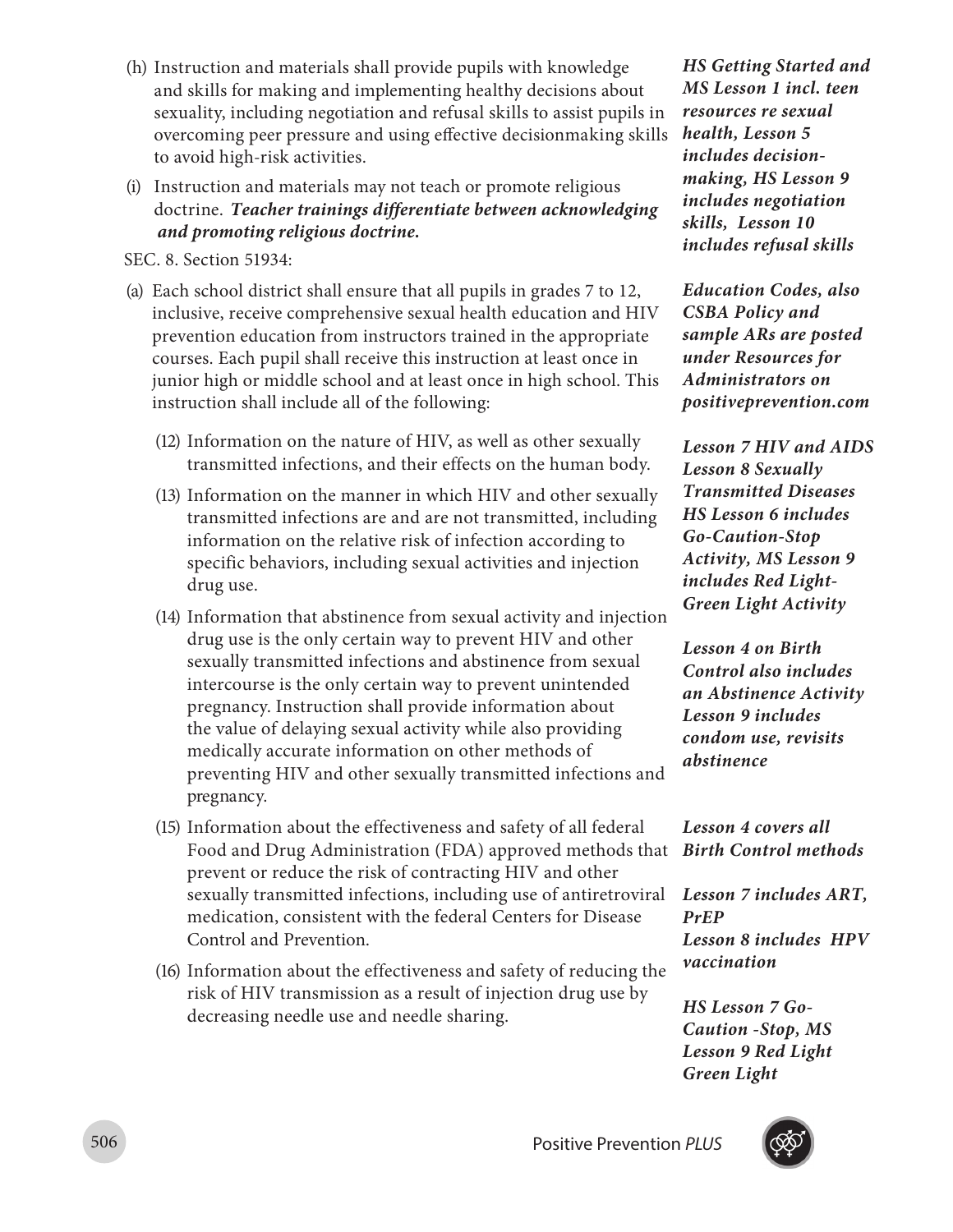- (h) Instruction and materials shall provide pupils with knowledge and skills for making and implementing healthy decisions about sexuality, including negotiation and refusal skills to assist pupils in overcoming peer pressure and using effective decisionmaking skills to avoid high-risk activities.
- (i) Instruction and materials may not teach or promote religious doctrine.  *Teacher trainings differentiate between acknowledging and promoting religious doctrine.*

SEC. 8. Section 51934:

- (a) Each school district shall ensure that all pupils in grades 7 to 12, inclusive, receive comprehensive sexual health education and HIV prevention education from instructors trained in the appropriate courses. Each pupil shall receive this instruction at least once in junior high or middle school and at least once in high school. This instruction shall include all of the following:
	- (12) Information on the nature of HIV, as well as other sexually transmitted infections, and their effects on the human body.
	- (13) Information on the manner in which HIV and other sexually transmitted infections are and are not transmitted, including information on the relative risk of infection according to specific behaviors, including sexual activities and injection drug use.
	- (14) Information that abstinence from sexual activity and injection drug use is the only certain way to prevent HIV and other sexually transmitted infections and abstinence from sexual intercourse is the only certain way to prevent unintended pregnancy. Instruction shall provide information about the value of delaying sexual activity while also providing medically accurate information on other methods of preventing HIV and other sexually transmitted infections and pregnancy.
	- (15) Information about the effectiveness and safety of all federal Food and Drug Administration (FDA) approved methods that *Birth Control methods* prevent or reduce the risk of contracting HIV and other sexually transmitted infections, including use of antiretroviral medication, consistent with the federal Centers for Disease Control and Prevention.
	- (16) Information about the effectiveness and safety of reducing the risk of HIV transmission as a result of injection drug use by decreasing needle use and needle sharing.

*HS Getting Started and MS Lesson 1 incl. teen resources re sexual health, Lesson 5 includes decisionmaking, HS Lesson 9 includes negotiation skills, Lesson 10 includes refusal skills* 

*Education Codes, also CSBA Policy and sample ARs are posted under Resources for Administrators on positiveprevention.com*

*Lesson 7 HIV and AIDS Lesson 8 Sexually Transmitted Diseases HS Lesson 6 includes Go-Caution-Stop Activity, MS Lesson 9 includes Red Light-Green Light Activity*

*Lesson 4 on Birth Control also includes an Abstinence Activity Lesson 9 includes condom use, revisits abstinence*

*Lesson 4 covers all* 

*Lesson 7 includes ART, PrEP Lesson 8 includes HPV vaccination*

*HS Lesson 7 Go-Caution -Stop, MS Lesson 9 Red Light Green Light*

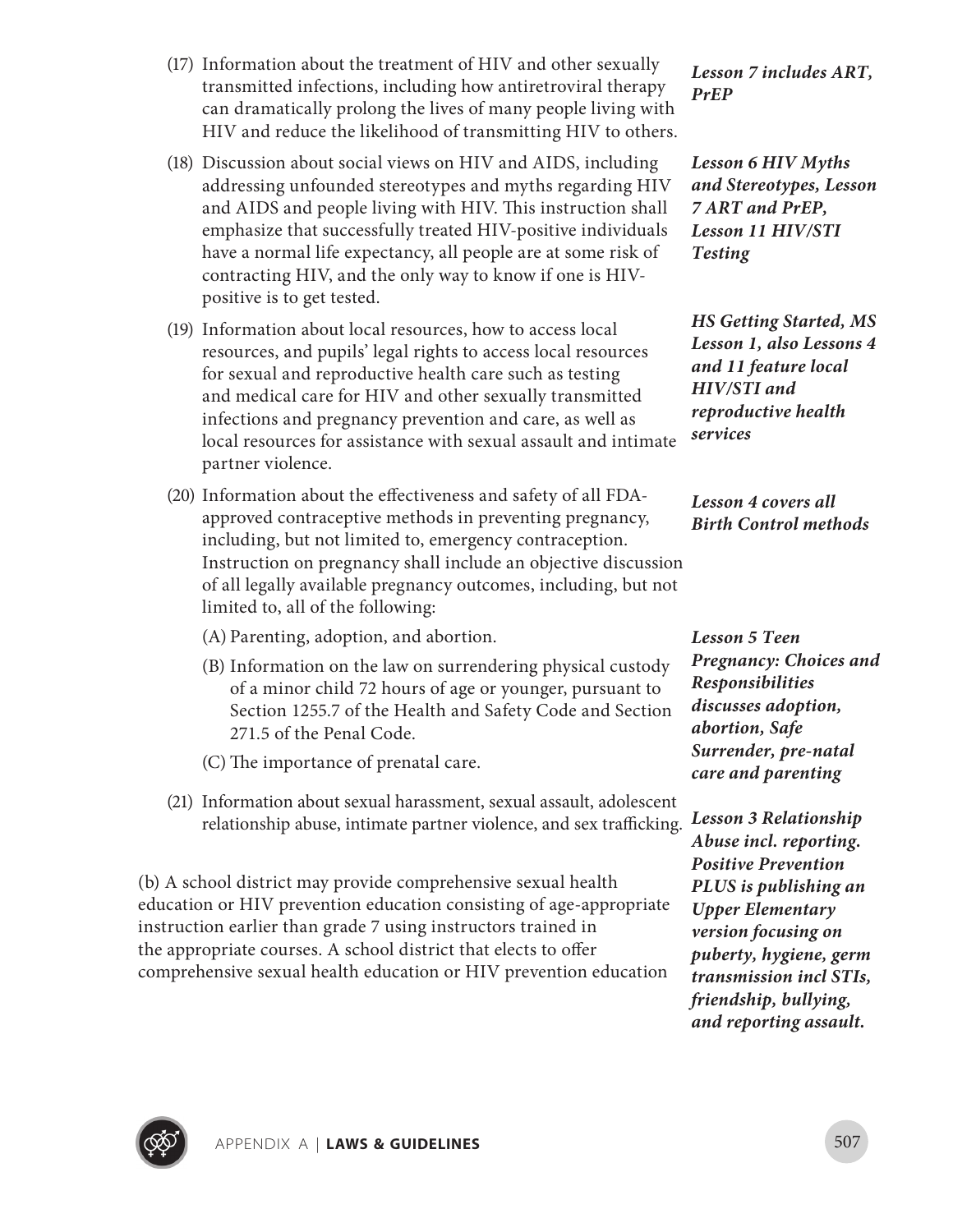

APPENDIX A **| Laws & Guidelines** 507

- (17) Information about the treatment of HIV and other sexually transmitted infections, including how antiretroviral therapy can dramatically prolong the lives of many people living with HIV and reduce the likelihood of transmitting HIV to others.
- (18) Discussion about social views on HIV and AIDS, including addressing unfounded stereotypes and myths regarding HIV and AIDS and people living with HIV. This instruction shall emphasize that successfully treated HIV-positive individuals have a normal life expectancy, all people are at some risk of contracting HIV, and the only way to know if one is HIVpositive is to get tested.
- (19) Information about local resources, how to access local resources, and pupils' legal rights to access local resources for sexual and reproductive health care such as testing and medical care for HIV and other sexually transmitted infections and pregnancy prevention and care, as well as local resources for assistance with sexual assault and intimate partner violence.
- (20) Information about the effectiveness and safety of all FDAapproved contraceptive methods in preventing pregnancy, including, but not limited to, emergency contraception. Instruction on pregnancy shall include an objective discussion of all legally available pregnancy outcomes, including, but not limited to, all of the following:
	- (A) Parenting, adoption, and abortion.
	- (B) Information on the law on surrendering physical custody of a minor child 72 hours of age or younger, pursuant to Section 1255.7 of the Health and Safety Code and Section 271.5 of the Penal Code.
	- (C) The importance of prenatal care.
- (21) Information about sexual harassment, sexual assault, adolescent relationship abuse, intimate partner violence, and sex trafficking.

(b) A school district may provide comprehensive sexual health education or HIV prevention education consisting of age-appropriate instruction earlier than grade 7 using instructors trained in the appropriate courses. A school district that elects to offer comprehensive sexual health education or HIV prevention education

*Lesson 7 includes ART, PrEP*

*Lesson 6 HIV Myths and Stereotypes, Lesson 7 ART and PrEP, Lesson 11 HIV/STI Testing*

*HS Getting Started, MS Lesson 1, also Lessons 4 and 11 feature local HIV/STI and reproductive health services*

*Lesson 4 covers all Birth Control methods*

*Lesson 5 Teen Pregnancy: Choices and Responsibilities discusses adoption, abortion, Safe Surrender, pre-natal care and parenting*

*Lesson 3 Relationship Abuse incl. reporting. Positive Prevention PLUS is publishing an Upper Elementary version focusing on puberty, hygiene, germ transmission incl STIs, friendship, bullying, and reporting assault.*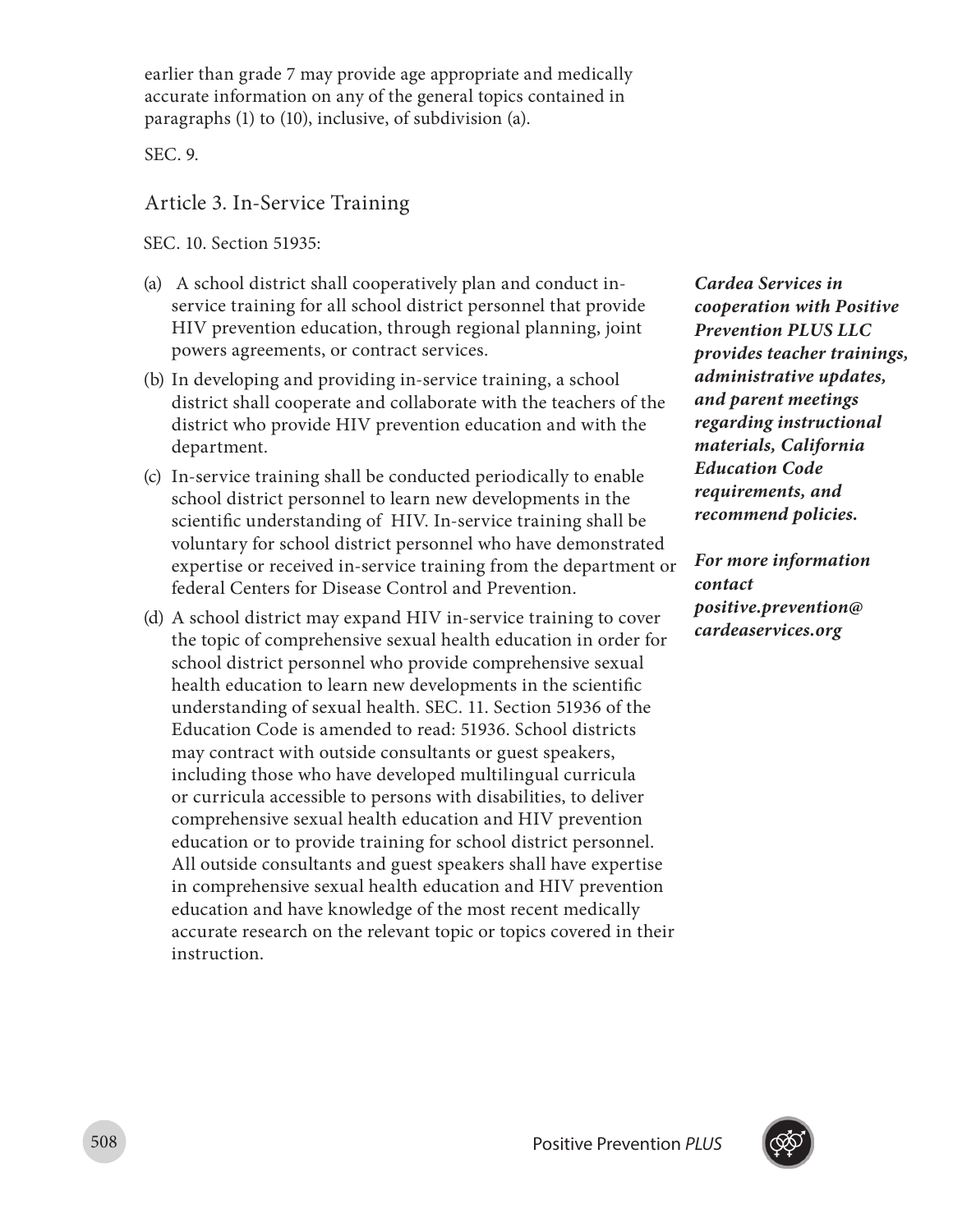earlier than grade 7 may provide age appropriate and medically accurate information on any of the general topics contained in paragraphs (1) to (10), inclusive, of subdivision (a).

SEC. 9.

### Article 3. In-Service Training

SEC. 10. Section 51935:

- (a) A school district shall cooperatively plan and conduct inservice training for all school district personnel that provide HIV prevention education, through regional planning, joint powers agreements, or contract services.
- (b) In developing and providing in-service training, a school district shall cooperate and collaborate with the teachers of the district who provide HIV prevention education and with the department.
- (c) In-service training shall be conducted periodically to enable school district personnel to learn new developments in the scientific understanding of HIV. In-service training shall be voluntary for school district personnel who have demonstrated expertise or received in-service training from the department or federal Centers for Disease Control and Prevention.
- (d) A school district may expand HIV in-service training to cover the topic of comprehensive sexual health education in order for school district personnel who provide comprehensive sexual health education to learn new developments in the scientific understanding of sexual health. SEC. 11. Section 51936 of the Education Code is amended to read: 51936. School districts may contract with outside consultants or guest speakers, including those who have developed multilingual curricula or curricula accessible to persons with disabilities, to deliver comprehensive sexual health education and HIV prevention education or to provide training for school district personnel. All outside consultants and guest speakers shall have expertise in comprehensive sexual health education and HIV prevention education and have knowledge of the most recent medically accurate research on the relevant topic or topics covered in their instruction.

*Cardea Services in cooperation with Positive Prevention PLUS LLC provides teacher trainings, administrative updates, and parent meetings regarding instructional materials, California Education Code requirements, and recommend policies.* 

*For more information contact positive.prevention@ cardeaservices.org*

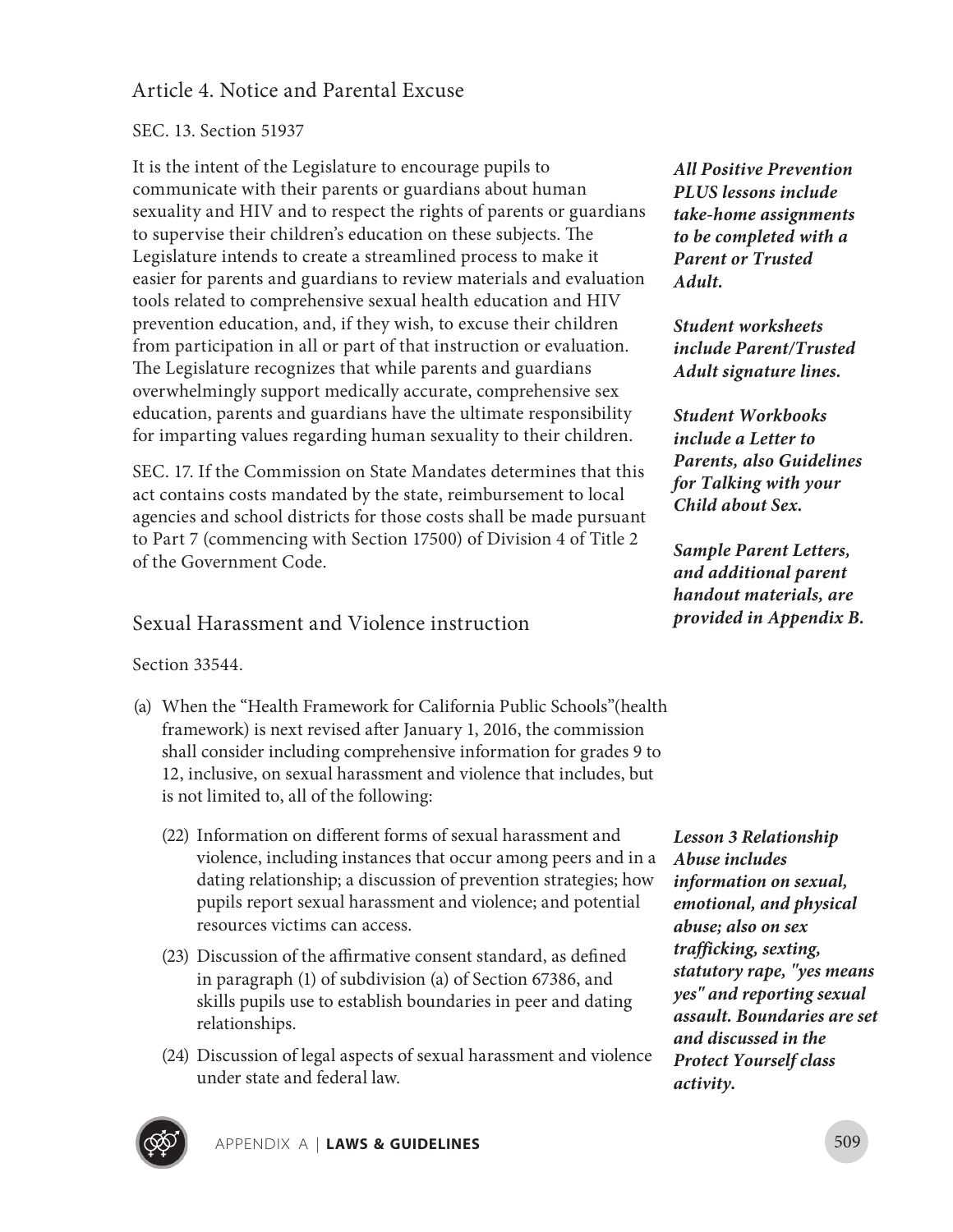## Article 4. Notice and Parental Excuse

#### SEC. 13. Section 51937

It is the intent of the Legislature to encourage pupils to communicate with their parents or guardians about human sexuality and HIV and to respect the rights of parents or guardians to supervise their children's education on these subjects. The Legislature intends to create a streamlined process to make it easier for parents and guardians to review materials and evaluation tools related to comprehensive sexual health education and HIV prevention education, and, if they wish, to excuse their children from participation in all or part of that instruction or evaluation. The Legislature recognizes that while parents and guardians overwhelmingly support medically accurate, comprehensive sex education, parents and guardians have the ultimate responsibility for imparting values regarding human sexuality to their children.

SEC. 17. If the Commission on State Mandates determines that this act contains costs mandated by the state, reimbursement to local agencies and school districts for those costs shall be made pursuant to Part 7 (commencing with Section 17500) of Division 4 of Title 2 of the Government Code.

## Sexual Harassment and Violence instruction

Section 33544.

- (a) When the "Health Framework for California Public Schools"(health framework) is next revised after January 1, 2016, the commission shall consider including comprehensive information for grades 9 to 12, inclusive, on sexual harassment and violence that includes, but is not limited to, all of the following:
	- (22) Information on different forms of sexual harassment and violence, including instances that occur among peers and in a dating relationship; a discussion of prevention strategies; how pupils report sexual harassment and violence; and potential resources victims can access.
	- (23) Discussion of the affirmative consent standard, as defined in paragraph (1) of subdivision (a) of Section 67386, and skills pupils use to establish boundaries in peer and dating relationships.
	- (24) Discussion of legal aspects of sexual harassment and violence under state and federal law.

*All Positive Prevention PLUS lessons include take-home assignments to be completed with a Parent or Trusted Adult.*

*Student worksheets include Parent/Trusted Adult signature lines.*

*Student Workbooks include a Letter to Parents, also Guidelines for Talking with your Child about Sex.*

*Sample Parent Letters, and additional parent handout materials, are provided in Appendix B.*

*Lesson 3 Relationship Abuse includes information on sexual, emotional, and physical abuse; also on sex trafficking, sexting, statutory rape, "yes means yes" and reporting sexual assault. Boundaries are set and discussed in the Protect Yourself class activity.*

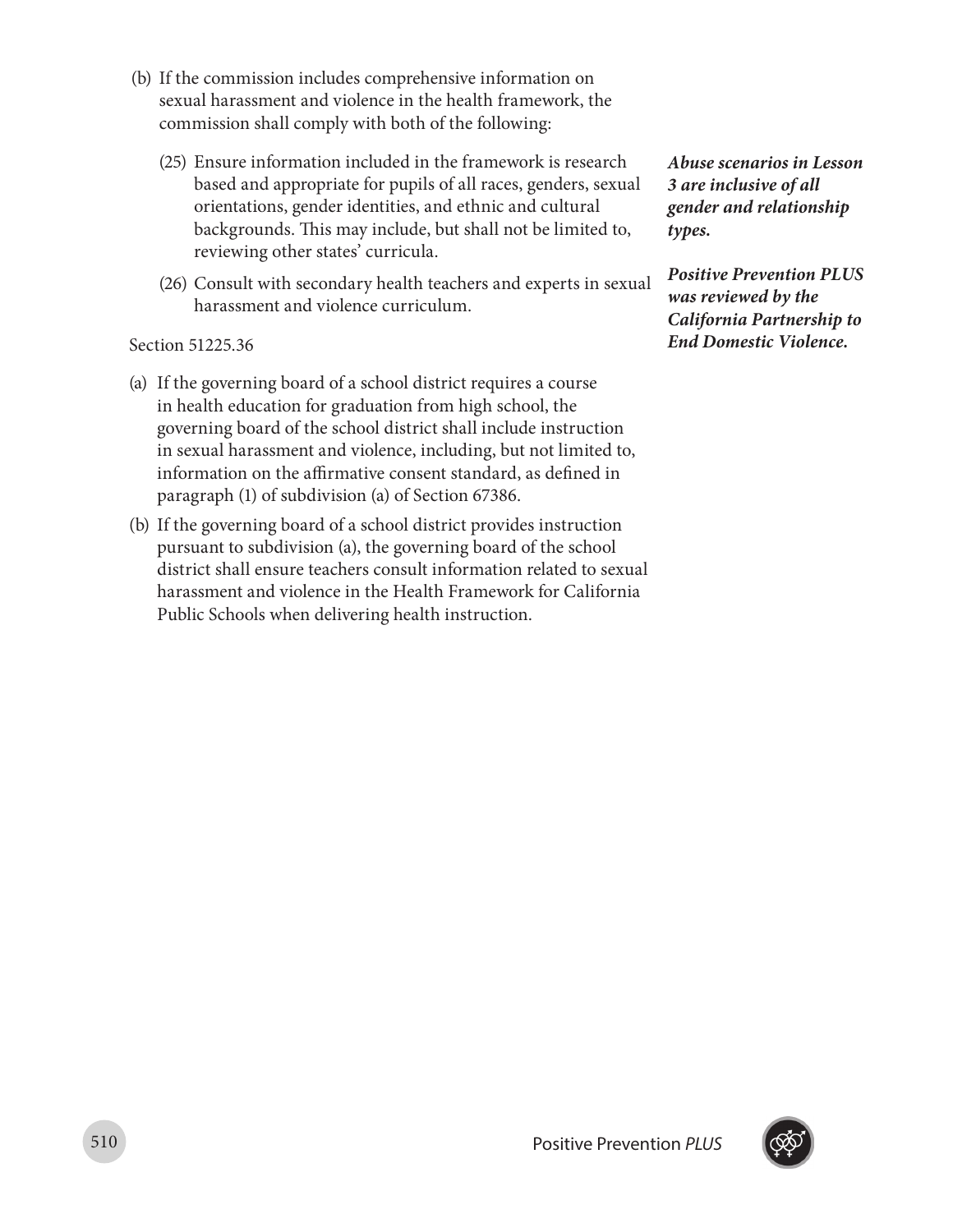- (b) If the commission includes comprehensive information on sexual harassment and violence in the health framework, the commission shall comply with both of the following:
	- (25) Ensure information included in the framework is research based and appropriate for pupils of all races, genders, sexual orientations, gender identities, and ethnic and cultural backgrounds. This may include, but shall not be limited to, reviewing other states' curricula.
	- (26) Consult with secondary health teachers and experts in sexual harassment and violence curriculum.

#### Section 51225.36

- (a) If the governing board of a school district requires a course in health education for graduation from high school, the governing board of the school district shall include instruction in sexual harassment and violence, including, but not limited to, information on the affirmative consent standard, as defined in paragraph (1) of subdivision (a) of Section 67386.
- (b) If the governing board of a school district provides instruction pursuant to subdivision (a), the governing board of the school district shall ensure teachers consult information related to sexual harassment and violence in the Health Framework for California Public Schools when delivering health instruction.

*Abuse scenarios in Lesson 3 are inclusive of all gender and relationship types.*

*Positive Prevention PLUS was reviewed by the California Partnership to End Domestic Violence.*